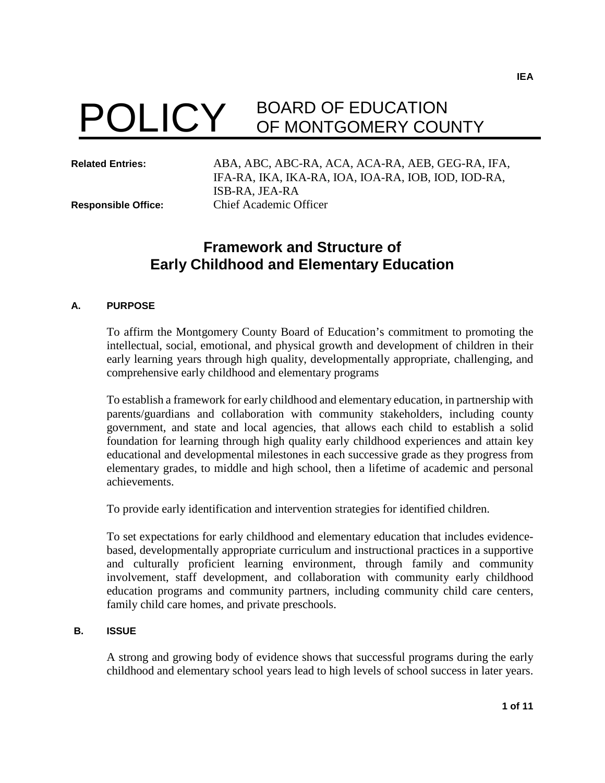# POLICY BOARD OF EDUCATION OF MONTGOMERY COUNTY

**Related Entries:** ABA, ABC, ABC-RA, ACA, ACA-RA, AEB, GEG-RA, IFA, IFA-RA, IKA, IKA-RA, IOA, IOA-RA, IOB, IOD, IOD-RA, ISB-RA, JEA-RA **Responsible Office:** Chief Academic Officer

# **Framework and Structure of Early Childhood and Elementary Education**

#### **A. PURPOSE**

To affirm the Montgomery County Board of Education's commitment to promoting the intellectual, social, emotional, and physical growth and development of children in their early learning years through high quality, developmentally appropriate, challenging, and comprehensive early childhood and elementary programs

To establish a framework for early childhood and elementary education, in partnership with parents/guardians and collaboration with community stakeholders, including county government, and state and local agencies, that allows each child to establish a solid foundation for learning through high quality early childhood experiences and attain key educational and developmental milestones in each successive grade as they progress from elementary grades, to middle and high school, then a lifetime of academic and personal achievements.

To provide early identification and intervention strategies for identified children.

To set expectations for early childhood and elementary education that includes evidencebased, developmentally appropriate curriculum and instructional practices in a supportive and culturally proficient learning environment, through family and community involvement, staff development, and collaboration with community early childhood education programs and community partners, including community child care centers, family child care homes, and private preschools.

#### **B. ISSUE**

A strong and growing body of evidence shows that successful programs during the early childhood and elementary school years lead to high levels of school success in later years.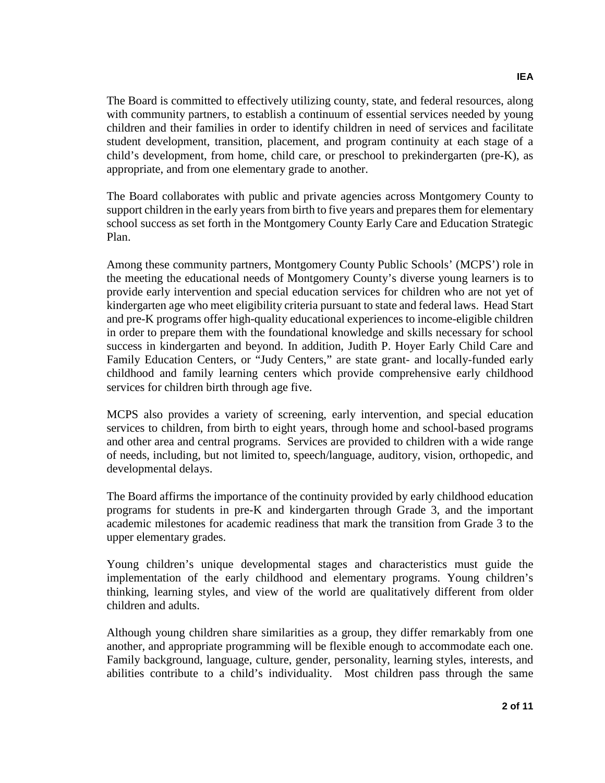The Board is committed to effectively utilizing county, state, and federal resources, along with community partners, to establish a continuum of essential services needed by young children and their families in order to identify children in need of services and facilitate student development, transition, placement, and program continuity at each stage of a child's development, from home, child care, or preschool to prekindergarten (pre-K), as appropriate, and from one elementary grade to another.

The Board collaborates with public and private agencies across Montgomery County to support children in the early years from birth to five years and prepares them for elementary school success as set forth in the Montgomery County Early Care and Education Strategic Plan.

Among these community partners, Montgomery County Public Schools' (MCPS') role in the meeting the educational needs of Montgomery County's diverse young learners is to provide early intervention and special education services for children who are not yet of kindergarten age who meet eligibility criteria pursuant to state and federal laws. Head Start and pre-K programs offer high-quality educational experiences to income-eligible children in order to prepare them with the foundational knowledge and skills necessary for school success in kindergarten and beyond. In addition, Judith P. Hoyer Early Child Care and Family Education Centers, or "Judy Centers," are state grant- and locally-funded early childhood and family learning centers which provide comprehensive early childhood services for children birth through age five.

MCPS also provides a variety of screening, early intervention, and special education services to children, from birth to eight years, through home and school-based programs and other area and central programs. Services are provided to children with a wide range of needs, including, but not limited to, speech/language, auditory, vision, orthopedic, and developmental delays.

The Board affirms the importance of the continuity provided by early childhood education programs for students in pre-K and kindergarten through Grade 3, and the important academic milestones for academic readiness that mark the transition from Grade 3 to the upper elementary grades.

Young children's unique developmental stages and characteristics must guide the implementation of the early childhood and elementary programs. Young children's thinking, learning styles, and view of the world are qualitatively different from older children and adults.

Although young children share similarities as a group, they differ remarkably from one another, and appropriate programming will be flexible enough to accommodate each one. Family background, language, culture, gender, personality, learning styles, interests, and abilities contribute to a child's individuality. Most children pass through the same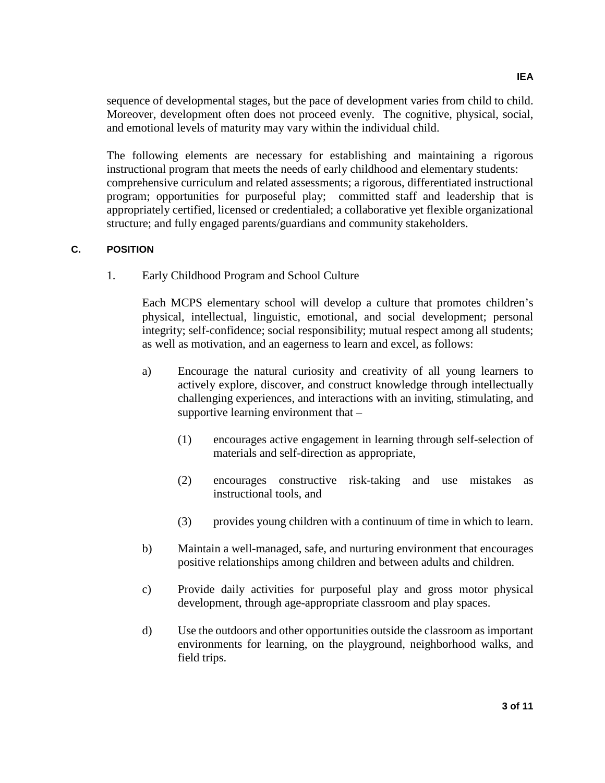sequence of developmental stages, but the pace of development varies from child to child. Moreover, development often does not proceed evenly. The cognitive, physical, social, and emotional levels of maturity may vary within the individual child.

The following elements are necessary for establishing and maintaining a rigorous instructional program that meets the needs of early childhood and elementary students: comprehensive curriculum and related assessments; a rigorous, differentiated instructional program; opportunities for purposeful play; committed staff and leadership that is appropriately certified, licensed or credentialed; a collaborative yet flexible organizational structure; and fully engaged parents/guardians and community stakeholders.

## **C. POSITION**

1. Early Childhood Program and School Culture

Each MCPS elementary school will develop a culture that promotes children's physical, intellectual, linguistic, emotional, and social development; personal integrity; self-confidence; social responsibility; mutual respect among all students; as well as motivation, and an eagerness to learn and excel, as follows:

- a) Encourage the natural curiosity and creativity of all young learners to actively explore, discover, and construct knowledge through intellectually challenging experiences, and interactions with an inviting, stimulating, and supportive learning environment that –
	- (1) encourages active engagement in learning through self-selection of materials and self-direction as appropriate,
	- (2) encourages constructive risk-taking and use mistakes as instructional tools, and
	- (3) provides young children with a continuum of time in which to learn.
- b) Maintain a well-managed, safe, and nurturing environment that encourages positive relationships among children and between adults and children.
- c) Provide daily activities for purposeful play and gross motor physical development, through age-appropriate classroom and play spaces.
- d) Use the outdoors and other opportunities outside the classroom as important environments for learning, on the playground, neighborhood walks, and field trips.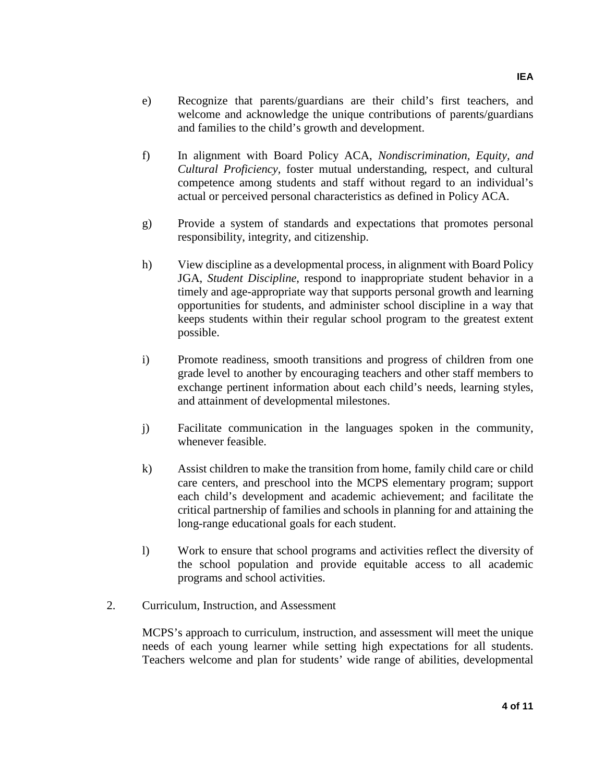- e) Recognize that parents/guardians are their child's first teachers, and welcome and acknowledge the unique contributions of parents/guardians and families to the child's growth and development.
- f) In alignment with Board Policy ACA, *Nondiscrimination, Equity, and Cultural Proficiency,* foster mutual understanding, respect, and cultural competence among students and staff without regard to an individual's actual or perceived personal characteristics as defined in Policy ACA.
- g) Provide a system of standards and expectations that promotes personal responsibility, integrity, and citizenship.
- h) View discipline as a developmental process, in alignment with Board Policy JGA, *Student Discipline*, respond to inappropriate student behavior in a timely and age-appropriate way that supports personal growth and learning opportunities for students, and administer school discipline in a way that keeps students within their regular school program to the greatest extent possible.
- i) Promote readiness, smooth transitions and progress of children from one grade level to another by encouraging teachers and other staff members to exchange pertinent information about each child's needs, learning styles, and attainment of developmental milestones.
- j) Facilitate communication in the languages spoken in the community, whenever feasible.
- k) Assist children to make the transition from home, family child care or child care centers, and preschool into the MCPS elementary program; support each child's development and academic achievement; and facilitate the critical partnership of families and schools in planning for and attaining the long-range educational goals for each student.
- l) Work to ensure that school programs and activities reflect the diversity of the school population and provide equitable access to all academic programs and school activities.
- 2. Curriculum, Instruction, and Assessment

MCPS's approach to curriculum, instruction, and assessment will meet the unique needs of each young learner while setting high expectations for all students. Teachers welcome and plan for students' wide range of abilities, developmental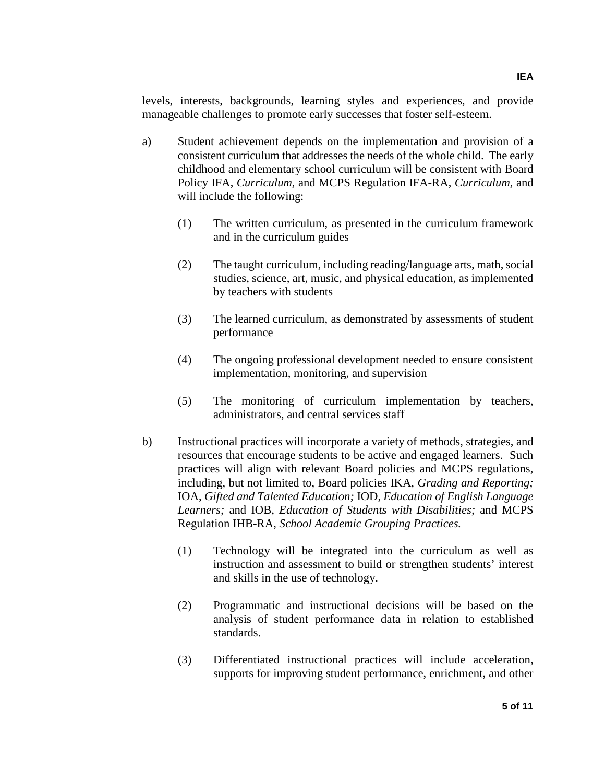levels, interests, backgrounds, learning styles and experiences, and provide manageable challenges to promote early successes that foster self-esteem.

- a) Student achievement depends on the implementation and provision of a consistent curriculum that addresses the needs of the whole child. The early childhood and elementary school curriculum will be consistent with Board Policy IFA, *Curriculum,* and MCPS Regulation IFA-RA, *Curriculum,* and will include the following:
	- (1) The written curriculum, as presented in the curriculum framework and in the curriculum guides
	- (2) The taught curriculum, including reading/language arts, math, social studies, science, art, music, and physical education, as implemented by teachers with students
	- (3) The learned curriculum, as demonstrated by assessments of student performance
	- (4) The ongoing professional development needed to ensure consistent implementation, monitoring, and supervision
	- (5) The monitoring of curriculum implementation by teachers, administrators, and central services staff
- b) Instructional practices will incorporate a variety of methods, strategies, and resources that encourage students to be active and engaged learners. Such practices will align with relevant Board policies and MCPS regulations, including, but not limited to, Board policies IKA, *Grading and Reporting;* IOA, *Gifted and Talented Education;* IOD, *Education of English Language Learners;* and IOB, *Education of Students with Disabilities;* and MCPS Regulation IHB-RA, *School Academic Grouping Practices.* 
	- (1) Technology will be integrated into the curriculum as well as instruction and assessment to build or strengthen students' interest and skills in the use of technology.
	- (2) Programmatic and instructional decisions will be based on the analysis of student performance data in relation to established standards.
	- (3) Differentiated instructional practices will include acceleration, supports for improving student performance, enrichment, and other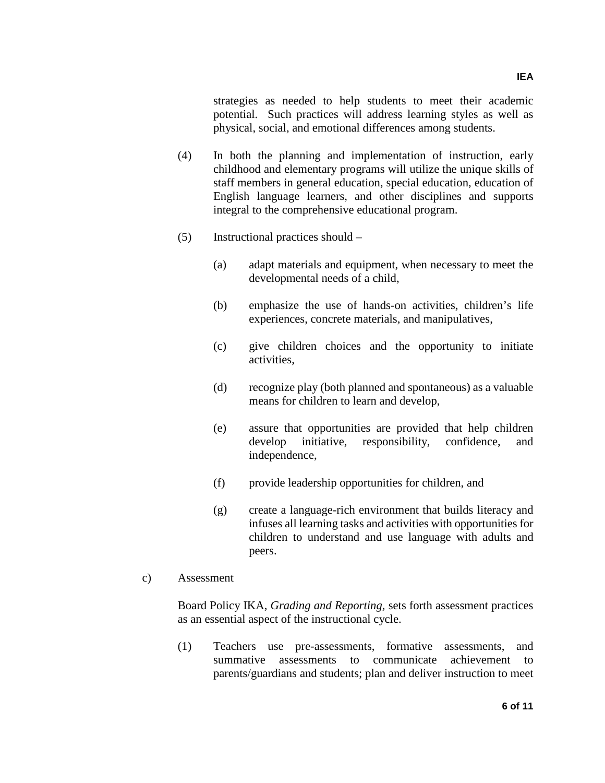strategies as needed to help students to meet their academic potential. Such practices will address learning styles as well as physical, social, and emotional differences among students.

- (4) In both the planning and implementation of instruction, early childhood and elementary programs will utilize the unique skills of staff members in general education, special education, education of English language learners, and other disciplines and supports integral to the comprehensive educational program.
- (5) Instructional practices should
	- (a) adapt materials and equipment, when necessary to meet the developmental needs of a child,
	- (b) emphasize the use of hands-on activities, children's life experiences, concrete materials, and manipulatives,
	- (c) give children choices and the opportunity to initiate activities,
	- (d) recognize play (both planned and spontaneous) as a valuable means for children to learn and develop,
	- (e) assure that opportunities are provided that help children develop initiative, responsibility, confidence, and independence,
	- (f) provide leadership opportunities for children, and
	- (g) create a language-rich environment that builds literacy and infuses all learning tasks and activities with opportunities for children to understand and use language with adults and peers.
- c) Assessment

Board Policy IKA, *Grading and Reporting,* sets forth assessment practices as an essential aspect of the instructional cycle.

(1) Teachers use pre-assessments, formative assessments, and summative assessments to communicate achievement to parents/guardians and students; plan and deliver instruction to meet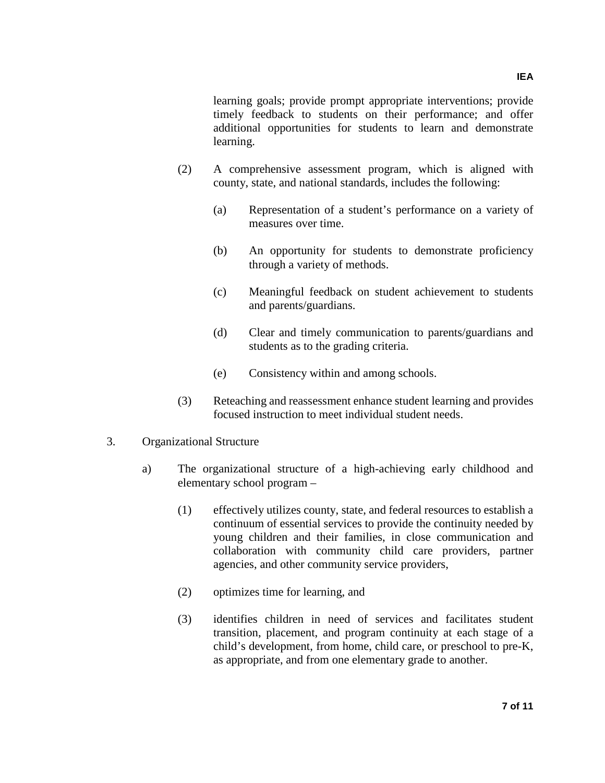learning goals; provide prompt appropriate interventions; provide timely feedback to students on their performance; and offer additional opportunities for students to learn and demonstrate learning.

- (2) A comprehensive assessment program, which is aligned with county, state, and national standards, includes the following:
	- (a) Representation of a student's performance on a variety of measures over time.
	- (b) An opportunity for students to demonstrate proficiency through a variety of methods.
	- (c) Meaningful feedback on student achievement to students and parents/guardians.
	- (d) Clear and timely communication to parents/guardians and students as to the grading criteria.
	- (e) Consistency within and among schools.
- (3) Reteaching and reassessment enhance student learning and provides focused instruction to meet individual student needs.
- 3. Organizational Structure
	- a) The organizational structure of a high-achieving early childhood and elementary school program –
		- (1) effectively utilizes county, state, and federal resources to establish a continuum of essential services to provide the continuity needed by young children and their families, in close communication and collaboration with community child care providers, partner agencies, and other community service providers,
		- (2) optimizes time for learning, and
		- (3) identifies children in need of services and facilitates student transition, placement, and program continuity at each stage of a child's development, from home, child care, or preschool to pre-K, as appropriate, and from one elementary grade to another.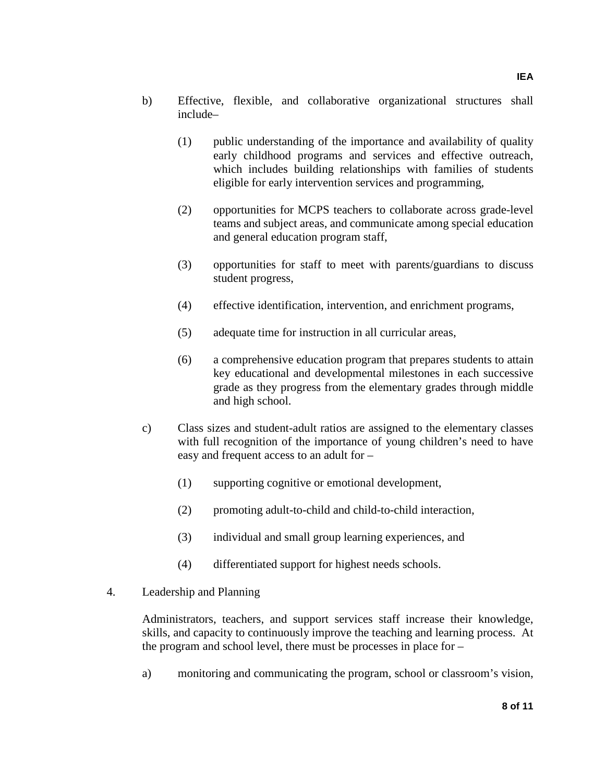- b) Effective, flexible, and collaborative organizational structures shall include–
	- (1) public understanding of the importance and availability of quality early childhood programs and services and effective outreach, which includes building relationships with families of students eligible for early intervention services and programming,
	- (2) opportunities for MCPS teachers to collaborate across grade-level teams and subject areas, and communicate among special education and general education program staff,
	- (3) opportunities for staff to meet with parents/guardians to discuss student progress,
	- (4) effective identification, intervention, and enrichment programs,
	- (5) adequate time for instruction in all curricular areas,
	- (6) a comprehensive education program that prepares students to attain key educational and developmental milestones in each successive grade as they progress from the elementary grades through middle and high school.
- c) Class sizes and student-adult ratios are assigned to the elementary classes with full recognition of the importance of young children's need to have easy and frequent access to an adult for –
	- (1) supporting cognitive or emotional development,
	- (2) promoting adult-to-child and child-to-child interaction,
	- (3) individual and small group learning experiences, and
	- (4) differentiated support for highest needs schools.
- 4. Leadership and Planning

Administrators, teachers, and support services staff increase their knowledge, skills, and capacity to continuously improve the teaching and learning process. At the program and school level, there must be processes in place for –

a) monitoring and communicating the program, school or classroom's vision,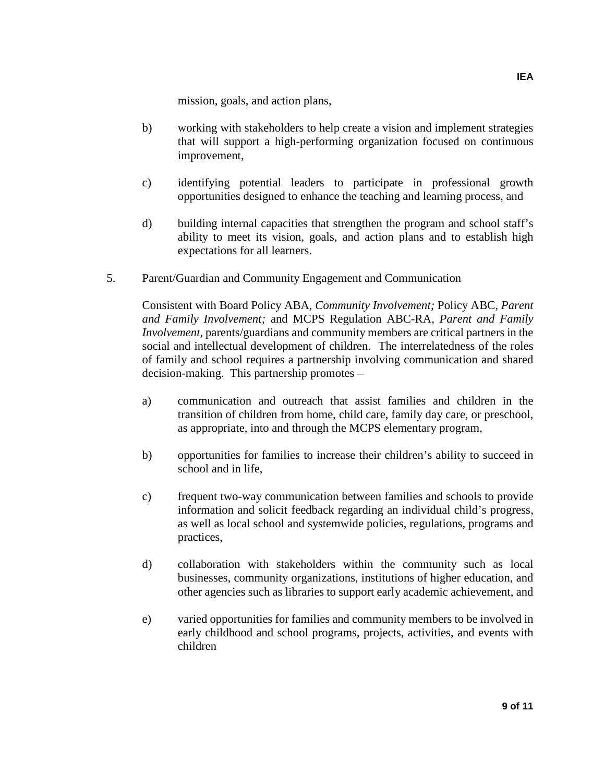mission, goals, and action plans,

- b) working with stakeholders to help create a vision and implement strategies that will support a high-performing organization focused on continuous improvement,
- c) identifying potential leaders to participate in professional growth opportunities designed to enhance the teaching and learning process, and
- d) building internal capacities that strengthen the program and school staff's ability to meet its vision, goals, and action plans and to establish high expectations for all learners.
- 5. Parent/Guardian and Community Engagement and Communication

Consistent with Board Policy ABA, *Community Involvement;* Policy ABC, *Parent and Family Involvement;* and MCPS Regulation ABC-RA, *Parent and Family Involvement,* parents/guardians and community members are critical partners in the social and intellectual development of children. The interrelatedness of the roles of family and school requires a partnership involving communication and shared decision-making. This partnership promotes –

- a) communication and outreach that assist families and children in the transition of children from home, child care, family day care, or preschool, as appropriate, into and through the MCPS elementary program,
- b) opportunities for families to increase their children's ability to succeed in school and in life,
- c) frequent two-way communication between families and schools to provide information and solicit feedback regarding an individual child's progress, as well as local school and systemwide policies, regulations, programs and practices,
- d) collaboration with stakeholders within the community such as local businesses, community organizations, institutions of higher education, and other agencies such as libraries to support early academic achievement, and
- e) varied opportunities for families and community members to be involved in early childhood and school programs, projects, activities, and events with children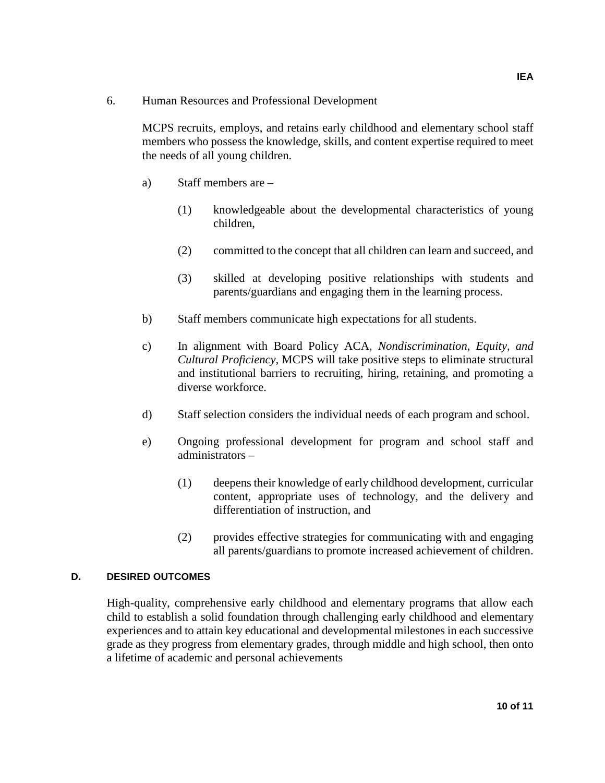6. Human Resources and Professional Development

MCPS recruits, employs, and retains early childhood and elementary school staff members who possess the knowledge, skills, and content expertise required to meet the needs of all young children.

- a) Staff members are
	- (1) knowledgeable about the developmental characteristics of young children,
	- (2) committed to the concept that all children can learn and succeed, and
	- (3) skilled at developing positive relationships with students and parents/guardians and engaging them in the learning process.
- b) Staff members communicate high expectations for all students.
- c) In alignment with Board Policy ACA, *Nondiscrimination, Equity, and Cultural Proficiency*, MCPS will take positive steps to eliminate structural and institutional barriers to recruiting, hiring, retaining, and promoting a diverse workforce.
- d) Staff selection considers the individual needs of each program and school.
- e) Ongoing professional development for program and school staff and administrators –
	- (1) deepens their knowledge of early childhood development, curricular content, appropriate uses of technology, and the delivery and differentiation of instruction, and
	- (2) provides effective strategies for communicating with and engaging all parents/guardians to promote increased achievement of children.

## **D. DESIRED OUTCOMES**

High-quality, comprehensive early childhood and elementary programs that allow each child to establish a solid foundation through challenging early childhood and elementary experiences and to attain key educational and developmental milestones in each successive grade as they progress from elementary grades, through middle and high school, then onto a lifetime of academic and personal achievements